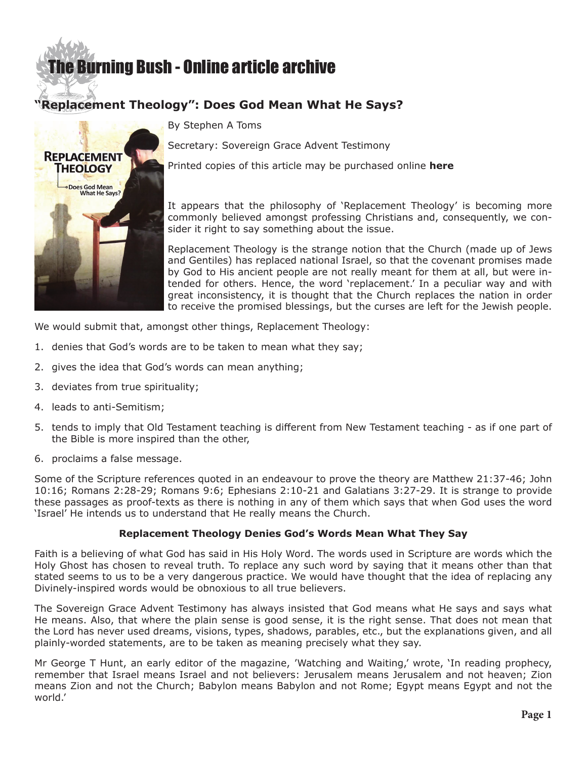# **E** Burning Bush - Online article archive

# **"Replacement Theology": Does God Mean What He Says?**



By Stephen A Toms

Secretary: Sovereign Grace Advent Testimony

Printed copies of this article may be purchased online **[here](http://www.sgat.org)**

It appears that the philosophy of 'Replacement Theology' is becoming more commonly believed amongst professing Christians and, consequently, we consider it right to say something about the issue.

Replacement Theology is the strange notion that the Church (made up of Jews and Gentiles) has replaced national Israel, so that the covenant promises made by God to His ancient people are not really meant for them at all, but were intended for others. Hence, the word 'replacement.' In a peculiar way and with great inconsistency, it is thought that the Church replaces the nation in order to receive the promised blessings, but the curses are left for the Jewish people.

We would submit that, amongst other things, Replacement Theology:

- 1. denies that God's words are to be taken to mean what they say;
- 2. gives the idea that God's words can mean anything;
- 3. deviates from true spirituality;
- 4. leads to anti-Semitism;
- 5. tends to imply that Old Testament teaching is different from New Testament teaching as if one part of the Bible is more inspired than the other,
- 6. proclaims a false message.

Some of the Scripture references quoted in an endeavour to prove the theory are Matthew 21:37-46; John 10:16; Romans 2:28-29; Romans 9:6; Ephesians 2:10-21 and Galatians 3:27-29. It is strange to provide these passages as proof-texts as there is nothing in any of them which says that when God uses the word 'Israel' He intends us to understand that He really means the Church.

## **Replacement Theology Denies God's Words Mean What They Say**

Faith is a believing of what God has said in His Holy Word. The words used in Scripture are words which the Holy Ghost has chosen to reveal truth. To replace any such word by saying that it means other than that stated seems to us to be a very dangerous practice. We would have thought that the idea of replacing any Divinely-inspired words would be obnoxious to all true believers.

The Sovereign Grace Advent Testimony has always insisted that God means what He says and says what He means. Also, that where the plain sense is good sense, it is the right sense. That does not mean that the Lord has never used dreams, visions, types, shadows, parables, etc., but the explanations given, and all plainly-worded statements, are to be taken as meaning precisely what they say.

Mr George T Hunt, an early editor of the magazine, 'Watching and Waiting,' wrote, 'In reading prophecy, remember that Israel means Israel and not believers: Jerusalem means Jerusalem and not heaven; Zion means Zion and not the Church; Babylon means Babylon and not Rome; Egypt means Egypt and not the world.'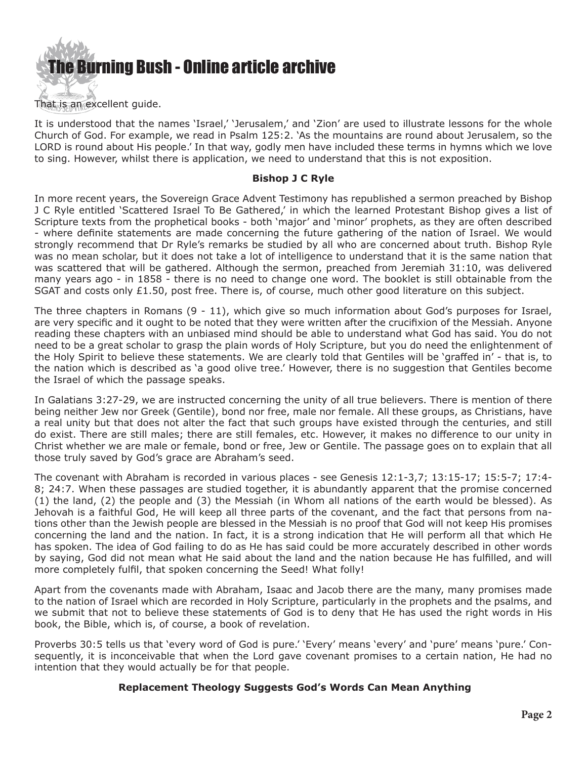

That is an excellent guide.

It is understood that the names 'Israel,' 'Jerusalem,' and 'Zion' are used to illustrate lessons for the whole Church of God. For example, we read in Psalm 125:2. 'As the mountains are round about Jerusalem, so the LORD is round about His people.' In that way, godly men have included these terms in hymns which we love to sing. However, whilst there is application, we need to understand that this is not exposition.

#### **Bishop J C Ryle**

In more recent years, the Sovereign Grace Advent Testimony has republished a sermon preached by Bishop J C Ryle entitled 'Scattered Israel To Be Gathered,' in which the learned Protestant Bishop gives a list of Scripture texts from the prophetical books - both 'major' and 'minor' prophets, as they are often described - where definite statements are made concerning the future gathering of the nation of Israel. We would strongly recommend that Dr Ryle's remarks be studied by all who are concerned about truth. Bishop Ryle was no mean scholar, but it does not take a lot of intelligence to understand that it is the same nation that was scattered that will be gathered. Although the sermon, preached from Jeremiah 31:10, was delivered many years ago - in 1858 - there is no need to change one word. The booklet is still obtainable from the SGAT and costs only  $£1.50$ , post free. There is, of course, much other good literature on this subject.

The three chapters in Romans (9 - 11), which give so much information about God's purposes for Israel, are very specific and it ought to be noted that they were written after the crucifixion of the Messiah. Anyone reading these chapters with an unbiased mind should be able to understand what God has said. You do not need to be a great scholar to grasp the plain words of Holy Scripture, but you do need the enlightenment of the Holy Spirit to believe these statements. We are clearly told that Gentiles will be 'graffed in' - that is, to the nation which is described as 'a good olive tree.' However, there is no suggestion that Gentiles become the Israel of which the passage speaks.

In Galatians 3:27-29, we are instructed concerning the unity of all true believers. There is mention of there being neither Jew nor Greek (Gentile), bond nor free, male nor female. All these groups, as Christians, have a real unity but that does not alter the fact that such groups have existed through the centuries, and still do exist. There are still males; there are still females, etc. However, it makes no difference to our unity in Christ whether we are male or female, bond or free, Jew or Gentile. The passage goes on to explain that all those truly saved by God's grace are Abraham's seed.

The covenant with Abraham is recorded in various places - see Genesis 12:1-3,7; 13:15-17; 15:5-7; 17:4- 8; 24:7. When these passages are studied together, it is abundantly apparent that the promise concerned (1) the land, (2) the people and (3) the Messiah (in Whom all nations of the earth would be blessed). As Jehovah is a faithful God, He will keep all three parts of the covenant, and the fact that persons from nations other than the Jewish people are blessed in the Messiah is no proof that God will not keep His promises concerning the land and the nation. In fact, it is a strong indication that He will perform all that which He has spoken. The idea of God failing to do as He has said could be more accurately described in other words by saying, God did not mean what He said about the land and the nation because He has fulfilled, and will more completely fulfil, that spoken concerning the Seed! What folly!

Apart from the covenants made with Abraham, Isaac and Jacob there are the many, many promises made to the nation of Israel which are recorded in Holy Scripture, particularly in the prophets and the psalms, and we submit that not to believe these statements of God is to deny that He has used the right words in His book, the Bible, which is, of course, a book of revelation.

Proverbs 30:5 tells us that 'every word of God is pure.' 'Every' means 'every' and 'pure' means 'pure.' Consequently, it is inconceivable that when the Lord gave covenant promises to a certain nation, He had no intention that they would actually be for that people.

## **Replacement Theology Suggests God's Words Can Mean Anything**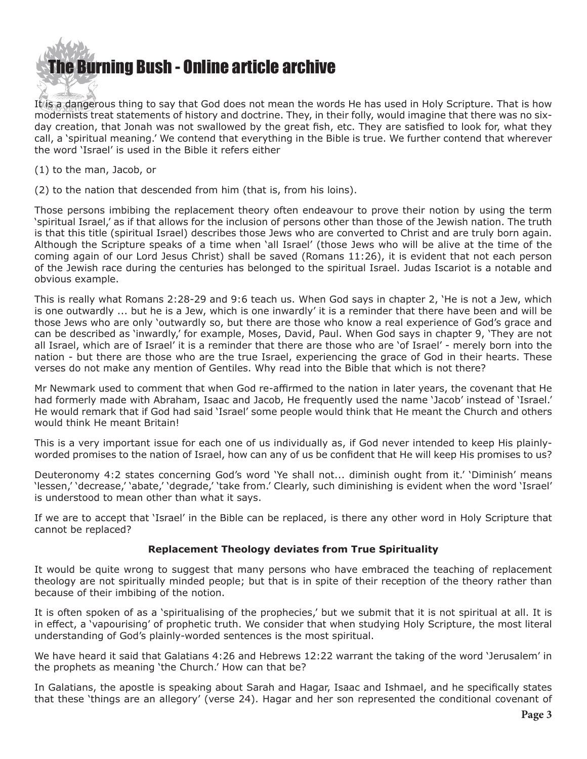

It is a dangerous thing to say that God does not mean the words He has used in Holy Scripture. That is how modernists treat statements of history and doctrine. They, in their folly, would imagine that there was no sixday creation, that Jonah was not swallowed by the great fish, etc. They are satisfied to look for, what they call, a 'spiritual meaning.' We contend that everything in the Bible is true. We further contend that wherever the word 'Israel' is used in the Bible it refers either

(1) to the man, Jacob, or

(2) to the nation that descended from him (that is, from his loins).

Those persons imbibing the replacement theory often endeavour to prove their notion by using the term 'spiritual Israel,' as if that allows for the inclusion of persons other than those of the Jewish nation. The truth is that this title (spiritual Israel) describes those Jews who are converted to Christ and are truly born again. Although the Scripture speaks of a time when 'all Israel' (those Jews who will be alive at the time of the coming again of our Lord Jesus Christ) shall be saved (Romans 11:26), it is evident that not each person of the Jewish race during the centuries has belonged to the spiritual Israel. Judas Iscariot is a notable and obvious example.

This is really what Romans 2:28-29 and 9:6 teach us. When God says in chapter 2, 'He is not a Jew, which is one outwardly ... but he is a Jew, which is one inwardly' it is a reminder that there have been and will be those Jews who are only 'outwardly so, but there are those who know a real experience of God's grace and can be described as 'inwardly,' for example, Moses, David, Paul. When God says in chapter 9, 'They are not all Israel, which are of Israel' it is a reminder that there are those who are 'of Israel' - merely born into the nation - but there are those who are the true Israel, experiencing the grace of God in their hearts. These verses do not make any mention of Gentiles. Why read into the Bible that which is not there?

Mr Newmark used to comment that when God re-affirmed to the nation in later years, the covenant that He had formerly made with Abraham, Isaac and Jacob, He frequently used the name 'Jacob' instead of 'Israel.' He would remark that if God had said 'Israel' some people would think that He meant the Church and others would think He meant Britain!

This is a very important issue for each one of us individually as, if God never intended to keep His plainlyworded promises to the nation of Israel, how can any of us be confident that He will keep His promises to us?

Deuteronomy 4:2 states concerning God's word 'Ye shall not... diminish ought from it.' 'Diminish' means 'lessen,' 'decrease,' 'abate,' 'degrade,' 'take from.' Clearly, such diminishing is evident when the word 'Israel' is understood to mean other than what it says.

If we are to accept that 'Israel' in the Bible can be replaced, is there any other word in Holy Scripture that cannot be replaced?

#### **Replacement Theology deviates from True Spirituality**

It would be quite wrong to suggest that many persons who have embraced the teaching of replacement theology are not spiritually minded people; but that is in spite of their reception of the theory rather than because of their imbibing of the notion.

It is often spoken of as a 'spiritualising of the prophecies,' but we submit that it is not spiritual at all. It is in effect, a 'vapourising' of prophetic truth. We consider that when studying Holy Scripture, the most literal understanding of God's plainly-worded sentences is the most spiritual.

We have heard it said that Galatians 4:26 and Hebrews 12:22 warrant the taking of the word 'Jerusalem' in the prophets as meaning 'the Church.' How can that be?

In Galatians, the apostle is speaking about Sarah and Hagar, Isaac and Ishmael, and he specifically states that these 'things are an allegory' (verse 24). Hagar and her son represented the conditional covenant of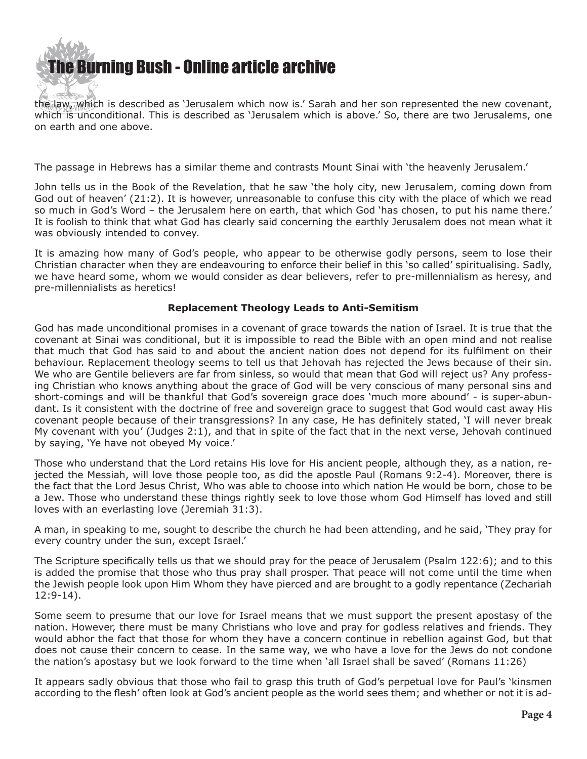

the law, which is described as 'Jerusalem which now is.' Sarah and her son represented the new covenant, which is unconditional. This is described as 'Jerusalem which is above.' So, there are two Jerusalems, one on earth and one above.

The passage in Hebrews has a similar theme and contrasts Mount Sinai with 'the heavenly Jerusalem.'

John tells us in the Book of the Revelation, that he saw 'the holy city, new Jerusalem, coming down from God out of heaven' (21:2). It is however, unreasonable to confuse this city with the place of which we read so much in God's Word – the Jerusalem here on earth, that which God 'has chosen, to put his name there.' It is foolish to think that what God has clearly said concerning the earthly Jerusalem does not mean what it was obviously intended to convey.

It is amazing how many of God's people, who appear to be otherwise godly persons, seem to lose their Christian character when they are endeavouring to enforce their belief in this 'so called' spiritualising. Sadly, we have heard some, whom we would consider as dear believers, refer to pre-millennialism as heresy, and pre-millennialists as heretics!

#### **Replacement Theology Leads to Anti-Semitism**

God has made unconditional promises in a covenant of grace towards the nation of Israel. It is true that the covenant at Sinai was conditional, but it is impossible to read the Bible with an open mind and not realise that much that God has said to and about the ancient nation does not depend for its fulfilment on their behaviour. Replacement theology seems to tell us that Jehovah has rejected the Jews because of their sin. We who are Gentile believers are far from sinless, so would that mean that God will reject us? Any professing Christian who knows anything about the grace of God will be very conscious of many personal sins and short-comings and will be thankful that God's sovereign grace does 'much more abound' - is super-abundant. Is it consistent with the doctrine of free and sovereign grace to suggest that God would cast away His covenant people because of their transgressions? In any case, He has definitely stated, 'I will never break My covenant with you' (Judges 2:1), and that in spite of the fact that in the next verse, Jehovah continued by saying, 'Ye have not obeyed My voice.'

Those who understand that the Lord retains His love for His ancient people, although they, as a nation, rejected the Messiah, will love those people too, as did the apostle Paul (Romans 9:2-4). Moreover, there is the fact that the Lord Jesus Christ, Who was able to choose into which nation He would be born, chose to be a Jew. Those who understand these things rightly seek to love those whom God Himself has loved and still loves with an everlasting love (Jeremiah 31:3).

A man, in speaking to me, sought to describe the church he had been attending, and he said, 'They pray for every country under the sun, except Israel.'

The Scripture specifically tells us that we should pray for the peace of Jerusalem (Psalm 122:6); and to this is added the promise that those who thus pray shall prosper. That peace will not come until the time when the Jewish people look upon Him Whom they have pierced and are brought to a godly repentance (Zechariah 12:9-14).

Some seem to presume that our love for Israel means that we must support the present apostasy of the nation. However, there must be many Christians who love and pray for godless relatives and friends. They would abhor the fact that those for whom they have a concern continue in rebellion against God, but that does not cause their concern to cease. In the same way, we who have a love for the Jews do not condone the nation's apostasy but we look forward to the time when 'all Israel shall be saved' (Romans 11:26)

It appears sadly obvious that those who fail to grasp this truth of God's perpetual love for Paul's 'kinsmen according to the flesh' often look at God's ancient people as the world sees them; and whether or not it is ad-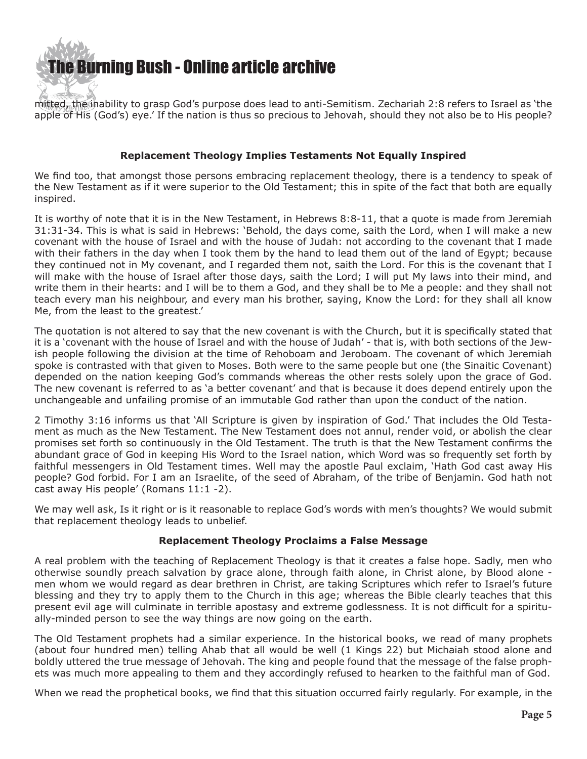

mitted, the inability to grasp God's purpose does lead to anti-Semitism. Zechariah 2:8 refers to Israel as 'the apple of His (God's) eye.' If the nation is thus so precious to Jehovah, should they not also be to His people?

#### **Replacement Theology Implies Testaments Not Equally Inspired**

We find too, that amongst those persons embracing replacement theology, there is a tendency to speak of the New Testament as if it were superior to the Old Testament; this in spite of the fact that both are equally inspired.

It is worthy of note that it is in the New Testament, in Hebrews 8:8-11, that a quote is made from Jeremiah 31:31-34. This is what is said in Hebrews: 'Behold, the days come, saith the Lord, when I will make a new covenant with the house of Israel and with the house of Judah: not according to the covenant that I made with their fathers in the day when I took them by the hand to lead them out of the land of Egypt; because they continued not in My covenant, and I regarded them not, saith the Lord. For this is the covenant that I will make with the house of Israel after those days, saith the Lord; I will put My laws into their mind, and write them in their hearts: and I will be to them a God, and they shall be to Me a people: and they shall not teach every man his neighbour, and every man his brother, saying, Know the Lord: for they shall all know Me, from the least to the greatest.'

The quotation is not altered to say that the new covenant is with the Church, but it is specifically stated that it is a 'covenant with the house of Israel and with the house of Judah' - that is, with both sections of the Jewish people following the division at the time of Rehoboam and Jeroboam. The covenant of which Jeremiah spoke is contrasted with that given to Moses. Both were to the same people but one (the Sinaitic Covenant) depended on the nation keeping God's commands whereas the other rests solely upon the grace of God. The new covenant is referred to as 'a better covenant' and that is because it does depend entirely upon the unchangeable and unfailing promise of an immutable God rather than upon the conduct of the nation.

2 Timothy 3:16 informs us that 'All Scripture is given by inspiration of God.' That includes the Old Testament as much as the New Testament. The New Testament does not annul, render void, or abolish the clear promises set forth so continuously in the Old Testament. The truth is that the New Testament confirms the abundant grace of God in keeping His Word to the Israel nation, which Word was so frequently set forth by faithful messengers in Old Testament times. Well may the apostle Paul exclaim, 'Hath God cast away His people? God forbid. For I am an Israelite, of the seed of Abraham, of the tribe of Benjamin. God hath not cast away His people' (Romans 11:1 -2).

We may well ask, Is it right or is it reasonable to replace God's words with men's thoughts? We would submit that replacement theology leads to unbelief.

## **Replacement Theology Proclaims a False Message**

A real problem with the teaching of Replacement Theology is that it creates a false hope. Sadly, men who otherwise soundly preach salvation by grace alone, through faith alone, in Christ alone, by Blood alone men whom we would regard as dear brethren in Christ, are taking Scriptures which refer to Israel's future blessing and they try to apply them to the Church in this age; whereas the Bible clearly teaches that this present evil age will culminate in terrible apostasy and extreme godlessness. It is not difficult for a spiritually-minded person to see the way things are now going on the earth.

The Old Testament prophets had a similar experience. In the historical books, we read of many prophets (about four hundred men) telling Ahab that all would be well (1 Kings 22) but Michaiah stood alone and boldly uttered the true message of Jehovah. The king and people found that the message of the false prophets was much more appealing to them and they accordingly refused to hearken to the faithful man of God.

When we read the prophetical books, we find that this situation occurred fairly regularly. For example, in the